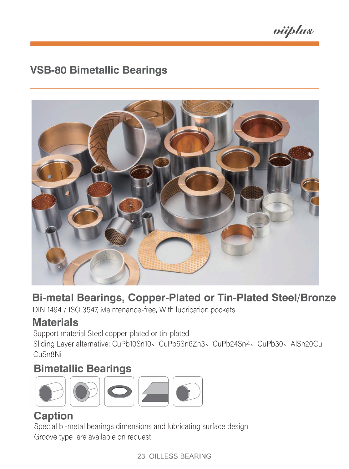viiplus

# **VSB-80 Bimetallic Bearings**



# **Bi-metal Bearings, Copper-Plated or Tin-Plated Steel/Bronze**

DIN 1494 / ISO 3547 Maintenance-free, With lubrication pockets

# **Materials**

Support material Steel copper-plated or tin-plated

Sliding Layer alternative: CuPb10Sn10, CuPb6Sn6Zn3, CuPb24Sn4, CuPb30, AlSn20Cu CuSn8Ni

# **Bimetallic Bearings**



### **Caption**

Special bi-metal bearings dimensions and lubricating surface design Groove type are available on request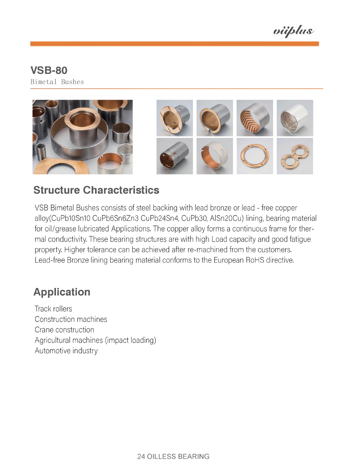viiplus

#### **VSB-80 Bimetal Bushes**





### **Structure Characteristics**

VSB Bimetal Bushes consists of steel backing with lead bronze or lead - free copper alloy(CuPb10Sn10 CuPb6Sn6Zn3 CuPb24Sn4, CuPb30, AlSn20Cu) lining, bearing material for oil/grease lubricated Applications. The copper alloy forms a continuous frame for thermal conductivity, These bearing structures are with high Load capacity and good fatigue property, Higher tolerance can be achieved after re-machined from the customers, Lead-free Bronze lining bearing material conforms to the European RoHS directive.

# **Application**

Track rollers Construction machines Crane construction Agricultural machines (impact loading) Automotive industry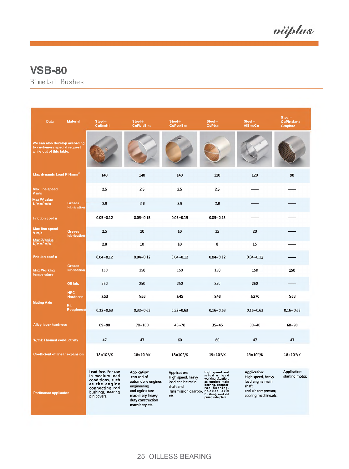viiplus

**Bimetal Bushes**

| <b>Data</b>                                                                               | <b>Materiai</b>               | $Steel+$<br>CuSn8Ni                                                                                                              | $Steel+$<br>CuPb10Sn10                                                                                                                         | $Steel+$<br>CuPb24Sn4                                                                                         | $Steel+$<br>CuPb <sub>30</sub>                                                                                                 | $Steel+$<br>AIS n <sub>20</sub> Cu                                                                            | $Steel +$<br>CuPb10Sn10<br>Graphite |
|-------------------------------------------------------------------------------------------|-------------------------------|----------------------------------------------------------------------------------------------------------------------------------|------------------------------------------------------------------------------------------------------------------------------------------------|---------------------------------------------------------------------------------------------------------------|--------------------------------------------------------------------------------------------------------------------------------|---------------------------------------------------------------------------------------------------------------|-------------------------------------|
| We can also develop according<br>to customers special request<br>while out of this table. |                               |                                                                                                                                  |                                                                                                                                                |                                                                                                               |                                                                                                                                |                                                                                                               |                                     |
| Max dynamic Load P N/mm <sup>2</sup>                                                      |                               | 140                                                                                                                              | 140                                                                                                                                            | 140                                                                                                           | 120                                                                                                                            | 120                                                                                                           | 90                                  |
| Max line speed<br>V m/s                                                                   |                               | 2.5                                                                                                                              | 2.5                                                                                                                                            | 2.5                                                                                                           | 2.5                                                                                                                            |                                                                                                               |                                     |
| Max PV value<br>$N/mm^2$ m/s                                                              | Greaes<br>lubrication         | 2.8                                                                                                                              | 2.8                                                                                                                                            | 28                                                                                                            | 2,8                                                                                                                            |                                                                                                               |                                     |
| Friction coef u                                                                           |                               | $0.05 - 0.12$                                                                                                                    | $0.05 - 0.15$                                                                                                                                  | $0.05 - 0.15$                                                                                                 | $0.05 - 0.15$                                                                                                                  |                                                                                                               |                                     |
| Max line speed<br>$V$ m/s                                                                 | Greaes<br>lubrication         | 2.5                                                                                                                              | 10                                                                                                                                             | 10                                                                                                            | 15                                                                                                                             | 20                                                                                                            |                                     |
| Max PV value<br>$N/mm^2$ m/s                                                              |                               | 2.8                                                                                                                              | 10                                                                                                                                             | 10                                                                                                            | 8                                                                                                                              | 15                                                                                                            |                                     |
| Friction coef u                                                                           |                               | $0.04 - 0.12$                                                                                                                    | $0.04 - 0.12$                                                                                                                                  | $0.04 - 0.12$                                                                                                 | $0.04 - 0.12$                                                                                                                  | $0.04 - 0.12$                                                                                                 |                                     |
| <b>Max Working</b><br>temperature                                                         | Greaes<br>lubrication         | 150                                                                                                                              | 150                                                                                                                                            | 150                                                                                                           | 150                                                                                                                            | 150                                                                                                           | 150                                 |
|                                                                                           | Oil lub.                      | 250                                                                                                                              | 250                                                                                                                                            | 250                                                                                                           | 250                                                                                                                            | 250                                                                                                           |                                     |
|                                                                                           | <b>HRC</b><br><b>Hardness</b> | $\geq$ 53                                                                                                                        | $\geq 53$                                                                                                                                      | $\geq 45$                                                                                                     | $\geq 48$                                                                                                                      | $\geq$ 270                                                                                                    | $\geq 53$                           |
| <b>Mating Axis</b>                                                                        | Ra<br><b>Roughness</b>        | $0.32 - 0.63$                                                                                                                    | $0.32 - 0.63$                                                                                                                                  | $0.32 - 0.63$                                                                                                 | $0.16 - 0.63$                                                                                                                  | $0.16 - 0.63$                                                                                                 | $0.16 - 0.63$                       |
| <b>Alloy layer hardness</b>                                                               |                               | 69~90                                                                                                                            | $70 - 100$                                                                                                                                     | 45~70                                                                                                         | $35 - 45$                                                                                                                      | $30 - 40$                                                                                                     | $60 - 90$                           |
| W/mk Thermal conductivity                                                                 |                               | 47                                                                                                                               | 47                                                                                                                                             | 60                                                                                                            | 60                                                                                                                             | 47                                                                                                            | 47                                  |
| <b>Coefficient of linear expansion</b>                                                    |                               | $18\times10^{-6}$ /K                                                                                                             | $18 \times 10^{-6}$ /K                                                                                                                         | $18 \times 10^{-6}$ /K                                                                                        | $19\times10^6$ /K                                                                                                              | $19 \times 10^{6}$ /K                                                                                         | $18 \times 10^{-6}$ /K              |
| Pertinence applicaton                                                                     |                               | Lead free, For use<br>in medium load<br>conditions, such<br>as the engine<br>connecting rod<br>bushings, steering<br>pin covers. | Application:<br>can-rad of<br>automobile engines,<br>engineering<br>and agriculture<br>machinery, heavy<br>duty construction<br>machinery etc. | Application:<br>High speed, heavy<br>load engine main<br>shaft and<br>ransmission gearbox, rocket arm<br>etc. | high speed and<br>middle load<br>working situation,<br>as engine main<br>bearing, connect-<br>rod bushing,<br>pump side plate. | Application:<br>High speed, heavy<br>load engine main<br>shaft<br>and air compressor,<br>cooling machine.etc. | Application:<br>starting motor.     |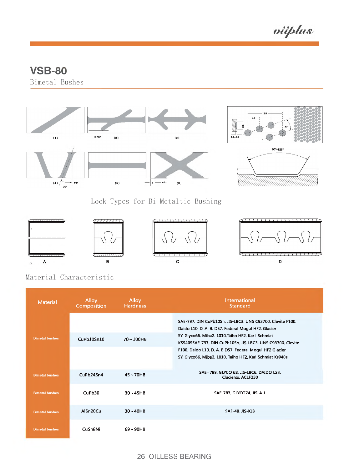viiplus

**Bimetal Bushes**



**Lock Types for Bi-Metaltic Bushing**









**Material Characteristic**

| <b>Material</b>       | Alloy<br><b>Composition</b> | Alloy<br><b>Hardness</b> | International<br><b>Standard</b>                                                                                                                                                                                                                                                                                                                            |
|-----------------------|-----------------------------|--------------------------|-------------------------------------------------------------------------------------------------------------------------------------------------------------------------------------------------------------------------------------------------------------------------------------------------------------------------------------------------------------|
| <b>Bimetal bushes</b> | CuPb10Sn10                  | $70 - 100$ HB            | SAE-797, DIN CuPb10Sn, JIS-LBC3, UNS C93700, Clevite F100.<br>Daido L10, D. A. B. D57. Federal Mogul HF2. Glacier<br>SY, Glyco66, Miba2, 1010, Taiho HF2, Karl Schmiat<br>KS940SSAE-797. DIN CuPb10Sn. JIS-LBC3. UNS C93700. Clevite<br>F100. Daido L10. D. A. B D57. Federal Mogul HF2 Glacier<br>SY. Glyco66. Miba2. 1010. Taiho HF2. Karl Schmiat Ks940s |
| <b>Bimetal bushes</b> | CuPb24Sn4                   | $45 - 70$ HB             | SAE=799, GLYCO 68, JIS-LBC6, DAIDO L23.<br>Claciersx, ACLF250                                                                                                                                                                                                                                                                                               |
| <b>Bimetal bushes</b> | CuPh30                      | $30 - 45HB$              | SAF-783, GIVCO74, JIS-AJI                                                                                                                                                                                                                                                                                                                                   |
| <b>Bimetal bushes</b> | AlSn20Cu                    | $30 - 40$ HB             | SAE-48 JIS-KJ3                                                                                                                                                                                                                                                                                                                                              |
| <b>Bimetal bushes</b> | CuSn8Ni                     | $69 - 90$ HB             |                                                                                                                                                                                                                                                                                                                                                             |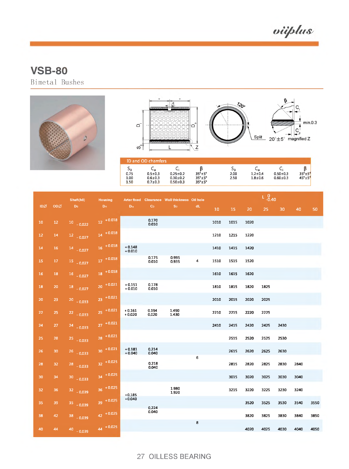viiplus

**Bimetal Bushes**





|                 |                 | Shaft(h8)    | <b>Housing</b><br>Arter fixed Clearance Wall thickness Oil hole |                      |                |                |                         |                 | $L_{-0.40}^{0}$ |      |        |      |      |      |
|-----------------|-----------------|--------------|-----------------------------------------------------------------|----------------------|----------------|----------------|-------------------------|-----------------|-----------------|------|--------|------|------|------|
| <b>IDØ</b>      | ODØ             | Ds:          | D <sub>H</sub>                                                  | Dia                  | C <sub>D</sub> | Sa i           | dL                      | 10 <sub>1</sub> | 15              | 20   | $25 -$ | 30   | 40   | 50   |
| 10 <sub>1</sub> | 12 <sub>1</sub> | $10 - 0.022$ | $12 + 0.018$                                                    |                      | 0.170<br>0.010 |                |                         | 1010            | 1015            | 1020 |        |      |      |      |
| 12 <sup>7</sup> | 14              | $12 - 0.027$ | $14 + 0.018$                                                    |                      |                |                |                         | 1210            | 1215            | 1220 |        |      |      |      |
| 14 <sup>°</sup> | 16 <sub>1</sub> | $14 - 0.027$ | $16 + 0.018$                                                    | $+0.148$<br>$+0.010$ |                |                |                         | 1410            | 1415            | 1420 |        |      |      |      |
| 15              | 17              | $15 - 0.027$ | $17 + 0.018$                                                    |                      | 0,175<br>0.010 | 0.995<br>0,935 | $\overline{\mathbf{4}}$ | 1510            | 1515            | 1520 |        |      |      |      |
| 16 <sub>1</sub> | 18              | $16 - 0.027$ | $18 + 0.018$                                                    |                      |                |                |                         | 1610            | 1615            | 1620 |        |      |      |      |
| 18              | 20              | $18 - 0.027$ | $20 + 0.021$                                                    | $+0.151$<br>$+0.010$ | 0,178<br>0.010 |                |                         | 1810            | 1815            | 1820 | 1825   |      |      |      |
| 20 <sub>1</sub> | 23              | $20 - 0.033$ | $23 + 0.021$                                                    |                      |                |                |                         | 2010            | 2015            | 2020 | 2025   |      |      |      |
| 22              | 25              | $22 - 0.033$ | $25 + 0.021$                                                    | $+0.161$<br>$+0.020$ | 0.194<br>0.020 | 1.490<br>1.430 |                         | 2210            | 2215            | 2220 | 2225   |      |      |      |
| 24              | 27              | $24 - 0.033$ | $27 + 0.021$                                                    |                      |                |                |                         | 2410            | 2415            | 2420 | 2425   | 2430 |      |      |
| 25              | 28              | $25 - 0.033$ | $28 + 0.021$                                                    |                      |                |                |                         |                 | 2515            | 2520 | 2525   | 2530 |      |      |
| 26 <sup>°</sup> | 30              | $26 - 0.033$ | $30^{+0.021}$                                                   | $+0.181$<br>$+0.040$ | 0,214<br>0.040 |                | 6                       |                 | 2615            | 2620 | 2625   | 2630 |      |      |
| 28              | 32              | $28 - 0.033$ | $32 + 0.025$                                                    |                      | 0.218<br>0.040 |                |                         |                 | 2815            | 2820 | 2825   | 2830 | 2840 |      |
| 30 <sub>1</sub> | 34              | $30 - 0.033$ | $34 + 0.025$                                                    |                      |                |                |                         |                 | 3015            | 3020 | 3025   | 3030 | 3040 |      |
| 32              | 36              | $32 - 0.039$ | $36 + 0.025$                                                    | $+0.185$             |                | 1.980<br>1,920 |                         |                 | 3215            | 3220 | 3225   | 3230 | 3240 |      |
| 35              | 39              | $35 - 0.039$ | $39 + 0.025$                                                    | $+0.040$             | 0.224          |                |                         |                 |                 | 3520 | 3525   | 3530 | 3540 | 3550 |
| 38              | 42              | $38 - 0.039$ | $42 + 0.025$                                                    |                      | 0.040          |                |                         |                 |                 | 3820 | 3825   | 3830 | 3840 | 3850 |
| 40              | 44              | $40 - 0.039$ | $44 + 0.025$                                                    |                      |                |                | 8                       |                 |                 | 4020 | 4025   | 4030 | 4040 | 4050 |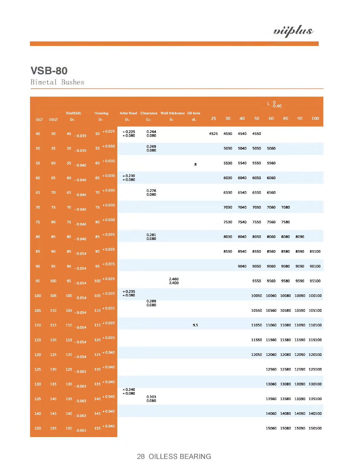viiplus

**Bimetal Bushes**

|     |     |                             |                                  |                      |                |                                                      |     |      |      |      | $L_{-0.40}^{0}$ |      |      |      |                                |
|-----|-----|-----------------------------|----------------------------------|----------------------|----------------|------------------------------------------------------|-----|------|------|------|-----------------|------|------|------|--------------------------------|
| IDZ | ODØ | Shaft(h8)<br>D <sub>s</sub> | <b>Housing</b><br>D <sub>H</sub> | Dia                  | $C_D$          | Arter fixed Clearance Wall thickness Oil hole<br>Sa. | dL  | 25   | 30   | 40   | 50              | 60   | 80   | 90   | 100                            |
| 45  | 50  | $45 - 0.039$                | $50 + 0.025$                     | $+0.225$<br>$+0.080$ | 0.264<br>0.080 |                                                      |     | 4525 | 4530 | 4540 | 4550            |      |      |      |                                |
| 50  | 55  | $50 - 0.039$                | 55 + 0.030                       |                      | 0.269<br>0.080 |                                                      |     |      | 5030 | 5040 | 5050            | 5060 |      |      |                                |
| 55  | 60  | $55 - 0.046$                | $60 + 0.030$                     |                      |                |                                                      | 8   |      | 5530 | 5540 | 5550            | 5560 |      |      |                                |
| 60  | 65  | $60 - 0.046$                | $65 + 0.030$                     | $+0.230$<br>$+0.080$ |                |                                                      |     |      | 6030 | 6040 | 6050            | 6060 |      |      |                                |
| 65  | 70  | 65 0.046                    | $70 + 0.030$                     |                      | 0.276<br>0.080 |                                                      |     |      | 6530 | 6540 | 6550            | 6560 |      |      |                                |
| 70  | 75  | $70 - 0.046$                | $75 + 0.030$                     |                      |                |                                                      |     |      | 7030 | 7040 | 7050            | 7060 | 7080 |      |                                |
| 75  | 80  | 75 0.046                    | 80 + 0.030                       |                      |                |                                                      |     |      | 7530 | 7540 | 7550            | 7560 | 7580 |      |                                |
| 80  | 85  | $80 - 0.046$                | $85 + 0.035$                     |                      | 0.281<br>0.080 |                                                      |     |      | 8030 | 8040 | 8050            | 8060 | 8080 | 8090 |                                |
| 85  | 90  | 85 0.054                    | $90 + 0.035$                     |                      |                |                                                      |     |      | 8530 | 8540 | 8550            | 8560 | 8580 | 8590 | 85100                          |
| 90  | 95  | $90 - 0.054$                | $95 + 0.035$                     |                      |                |                                                      |     |      |      | 9040 | 9050            | 9060 | 9080 | 9090 | 90100                          |
| 95  | 100 | $95 - 0.054$                | $100 + 0.035$                    |                      |                | 2,460<br>2.400                                       |     |      |      |      | 9550            | 9560 | 9580 | 9590 | 95100                          |
| 100 | 105 | $100$ 0.054                 | $105 + 0.035$                    | $+0.235$<br>$+0.080$ | 0.289          |                                                      |     |      |      |      |                 |      |      |      | 10050 10060 10080 10090 100100 |
| 105 | 110 | $105 - 0.054$               | $110 + 0.035$                    |                      | 0.080          |                                                      |     |      |      |      |                 |      |      |      | 10550 10560 10580 10590 105100 |
| 110 | 115 | $110$ 0.054                 | $115 + 0.035$                    |                      |                |                                                      | 9.5 |      |      |      |                 |      |      |      | 11050 11060 11080 11090 110100 |
| 115 | 120 | $115 - 0.054$               | $120 + 0.035$                    |                      |                |                                                      |     |      |      |      |                 |      |      |      | 11550 11560 11580 11590 115100 |
| 120 | 125 | $120 - 0.054$               | $125 + 0.040$                    |                      |                |                                                      |     |      |      |      |                 |      |      |      | 12050 12060 12080 12090 120100 |
| 125 | 130 | $125 - 0.063$               | $130 + 0.040$                    |                      |                |                                                      |     |      |      |      |                 |      |      |      | 12560 12580 12590 125100       |
| 130 | 135 | $130 - 0.063$               | $135 + 0.040$                    | $+0.240$             |                |                                                      |     |      |      |      |                 |      |      |      | 13060 13080 13090 130100       |
| 135 | 140 | 135 0.063                   | $140 + 0.040$                    | $+0.080$             | 0.303<br>0.080 |                                                      |     |      |      |      |                 |      |      |      | 13560 13580 13590 135100       |
| 140 | 145 | $140 - 0.063$               | $145 + 0.040$                    |                      |                |                                                      |     |      |      |      |                 |      |      |      | 14060 14080 14090 140100       |
| 150 | 155 | $150 - 0.063$               | $155 + 0.040$                    |                      |                |                                                      |     |      |      |      |                 |      |      |      | 15060 15080 15090 150100       |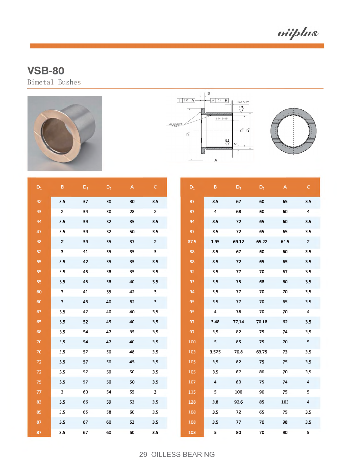viiplus

**Bimetal Bushes**







| $D_1$ | $\mathsf B$    | $D_3$ | $D_2$ | $\mathsf{A}% _{\mathsf{A}}^{\prime}=\mathsf{A}_{\mathsf{A}}^{\prime}$ | $\mathsf{C}$            | $\mathsf{D}_1$ | $\mathsf B$             | $D_3$ | $D_2$  | $\overline{A}$ | $\mathsf{C}$            |
|-------|----------------|-------|-------|-----------------------------------------------------------------------|-------------------------|----------------|-------------------------|-------|--------|----------------|-------------------------|
| 42    | 3.5            | 37    | 30    | 30                                                                    | 3.5                     | 87             | 3.5                     | 67    | 60     | 65             | 3.5                     |
| 43    | $\overline{2}$ | 34    | 30    | 28                                                                    | $\overline{\mathbf{2}}$ | 87             | 4                       | 68    | 60     | 60             | $\pmb{4}$               |
| 44    | 3.5            | 39    | 32    | 35                                                                    | 3.5                     | 94             | 3.5                     | 72    | 65     | 60             | 3.5                     |
| 47    | 3.5            | 39    | 32    | 50                                                                    | 3.5                     | 87             | 3.5                     | 72    | 65     | 65             | 3.5                     |
| 48    | $\overline{2}$ | 39    | 35    | 37                                                                    | $\overline{2}$          | 87.5           | 1.95                    | 69.12 | 65.22  | 64.5           | $\overline{2}$          |
| 52    | 3              | 41    | 35    | 35                                                                    | 3                       | 88             | 3.5                     | 67    | 60     | 60             | 3.5                     |
| 55    | 3.5            | 42    | 35    | 35                                                                    | 3.5                     | 88             | 3.5                     | 72    | 65     | 65             | 3.5                     |
| 55    | 3.5            | 45    | 38    | 35                                                                    | 3.5                     | 92             | 3.5                     | 77    | 70     | 67             | 3.5                     |
| 55    | 3.5            | 45    | 38    | 40                                                                    | 3.5                     | 93             | 3.5                     | 75    | 68     | 60             | 3.5                     |
| 60    | 3              | 41    | 35    | 42                                                                    | 3                       | 94             | 3.5                     | 77    | 70     | 70             | 3.5                     |
| 60    | $\mathbf{3}$   | 46    | 40    | 62                                                                    | 3                       | 95             | 3.5                     | $77$  | 70     | 65             | 3.5                     |
| 63    | 3.5            | 47    | 40    | 40                                                                    | 3.5                     | 95             | $\overline{\mathbf{4}}$ | 78    | 70     | 70             | $\pmb{4}$               |
| 65    | 3.5            | 52    | 45    | 40                                                                    | 3.5                     | 97             | 3.48                    | 77.14 | 70.18  | 62             | 3.5                     |
| 68    | 3.5            | 54    | 47    | 35                                                                    | 3.5                     | 97             | 3.5                     | 82    | 75     | 74             | 3.5                     |
| 70    | 3.5            | 54    | 47    | 40                                                                    | 3.5                     | 100            | 5                       | 85    | 75     | 70             | 5                       |
| 70    | 3.5            | 57    | 50    | 48                                                                    | 3.5                     | 103            | 3.525                   | 70.8  | 63.75  | 73             | 3.5                     |
| 72    | 3.5            | 57    | 50    | 45                                                                    | 3.5                     | 105            | 3.5                     | 82    | 75     | 75             | 3.5                     |
| 72    | 3.5            | 57    | 50    | 50                                                                    | 3.5                     | 105            | 3.5                     | 87    | 80     | 70             | 3.5                     |
| 75    | $3.5\,$        | 57    | 50    | 50                                                                    | 3.5                     | 107            | $\overline{\mathbf{4}}$ | 83    | 75     | 74             | $\overline{\mathbf{4}}$ |
| 77    | $\mathbf{3}$   | 60    | 54    | 55                                                                    | 3                       | 115            | 5                       | 100   | 90     | 75             | 5                       |
| 83    | 3.5            | 66    | 59    | 53                                                                    | 3.5                     | 128            | 3.8                     | 92.6  | 85     | 103            | $\overline{\mathbf{4}}$ |
| 85    | 3.5            | 65    | 58    | 60                                                                    | 3.5                     | 108            | 3.5                     | 72    | 65     | 75             | 3.5                     |
| 87    | 3.5            | 67    | 60    | 53                                                                    | 3.5                     | 108            | 3.5                     | 77    | $70\,$ | 98             | 3,5                     |
| 87    | 3.5            | 67    | 60    | 60                                                                    | 3.5                     | 108            | 5                       | 80    | 70     | 90             | 5                       |